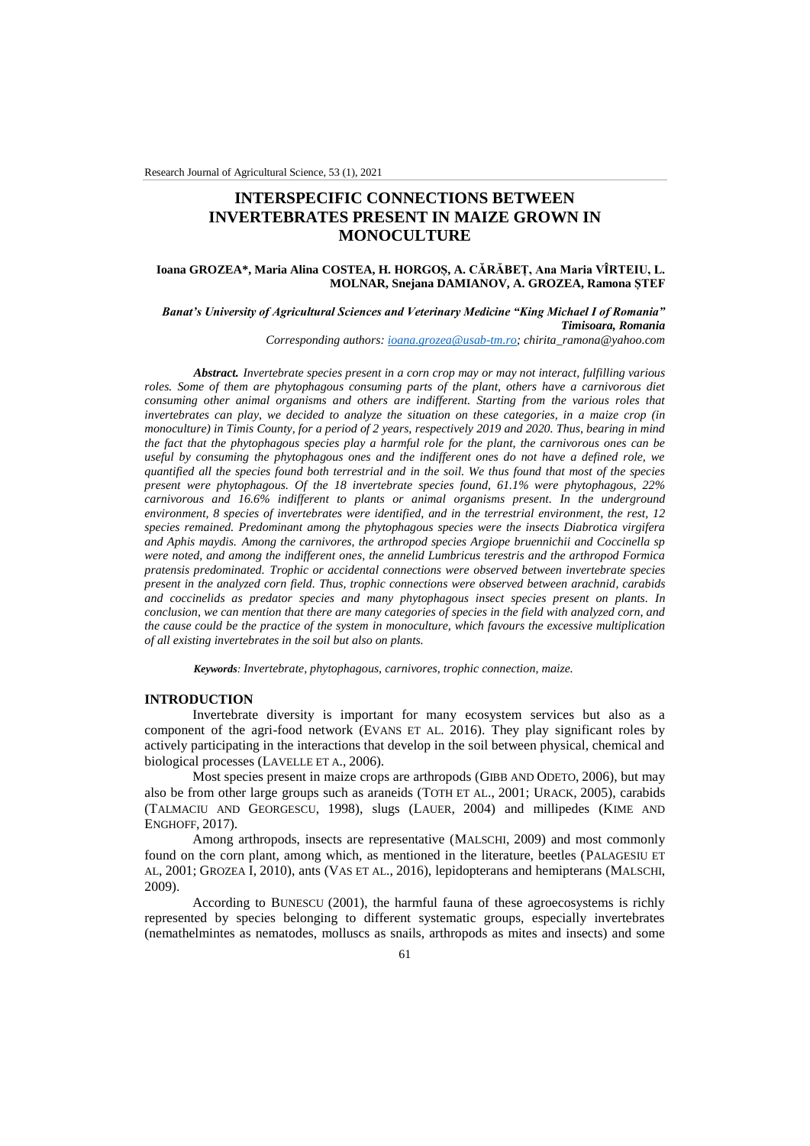# **INTERSPECIFIC CONNECTIONS BETWEEN INVERTEBRATES PRESENT IN MAIZE GROWN IN MONOCULTURE**

### **Ioana GROZEA\*, Maria Alina COSTEA, H. HORGOȘ, A. CĂRĂBEȚ, Ana Maria VÎRTEIU, L. MOLNAR, Snejana DAMIANOV, A. GROZEA, Ramona ȘTEF**

# *Banat's University of Agricultural Sciences and Veterinary Medicine "King Michael I of Romania" Timisoara, Romania*

*Corresponding authors: [ioana.grozea@usab-tm.ro;](mailto:ioana.grozea@usab-tm.ro) chirita\_ramona@yahoo.com*

*Abstract. Invertebrate species present in a corn crop may or may not interact, fulfilling various roles. Some of them are phytophagous consuming parts of the plant, others have a carnivorous diet consuming other animal organisms and others are indifferent. Starting from the various roles that invertebrates can play, we decided to analyze the situation on these categories, in a maize crop (in monoculture) in Timis County, for a period of 2 years, respectively 2019 and 2020. Thus, bearing in mind the fact that the phytophagous species play a harmful role for the plant, the carnivorous ones can be useful by consuming the phytophagous ones and the indifferent ones do not have a defined role, we quantified all the species found both terrestrial and in the soil. We thus found that most of the species present were phytophagous. Of the 18 invertebrate species found, 61.1% were phytophagous, 22% carnivorous and 16.6% indifferent to plants or animal organisms present. In the underground environment, 8 species of invertebrates were identified, and in the terrestrial environment, the rest, 12 species remained. Predominant among the phytophagous species were the insects Diabrotica virgifera and Aphis maydis. Among the carnivores, the arthropod species Argiope bruennichii and Coccinella sp were noted, and among the indifferent ones, the annelid Lumbricus terestris and the arthropod Formica pratensis predominated. Trophic or accidental connections were observed between invertebrate species present in the analyzed corn field. Thus, trophic connections were observed between arachnid, carabids and coccinelids as predator species and many phytophagous insect species present on plants. In conclusion, we can mention that there are many categories of species in the field with analyzed corn, and the cause could be the practice of the system in monoculture, which favours the excessive multiplication of all existing invertebrates in the soil but also on plants.*

*Keywords: Invertebrate, phytophagous, carnivores, trophic connection, maize.*

### **INTRODUCTION**

Invertebrate diversity is important for many ecosystem services but also as a component of the agri-food network (EVANS ET AL. 2016). They play significant roles by actively participating in the interactions that develop in the soil between physical, chemical and biological processes (LAVELLE ET A., 2006).

Most species present in maize crops are arthropods (GIBB AND ODETO, 2006), but may also be from other large groups such as araneids (TOTH ET AL., 2001; URACK, 2005), carabids (TALMACIU AND GEORGESCU, 1998), slugs (LAUER, 2004) and millipedes (KIME AND ENGHOFF, 2017).

Among arthropods, insects are representative (MALSCHI, 2009) and most commonly found on the corn plant, among which, as mentioned in the literature, beetles (PALAGESIU ET AL, 2001; GROZEA I, 2010), ants (VAS ET AL., 2016), lepidopterans and hemipterans (MALSCHI, 2009).

According to BUNESCU (2001), the harmful fauna of these agroecosystems is richly represented by species belonging to different systematic groups, especially invertebrates (nemathelmintes as nematodes, molluscs as snails, arthropods as mites and insects) and some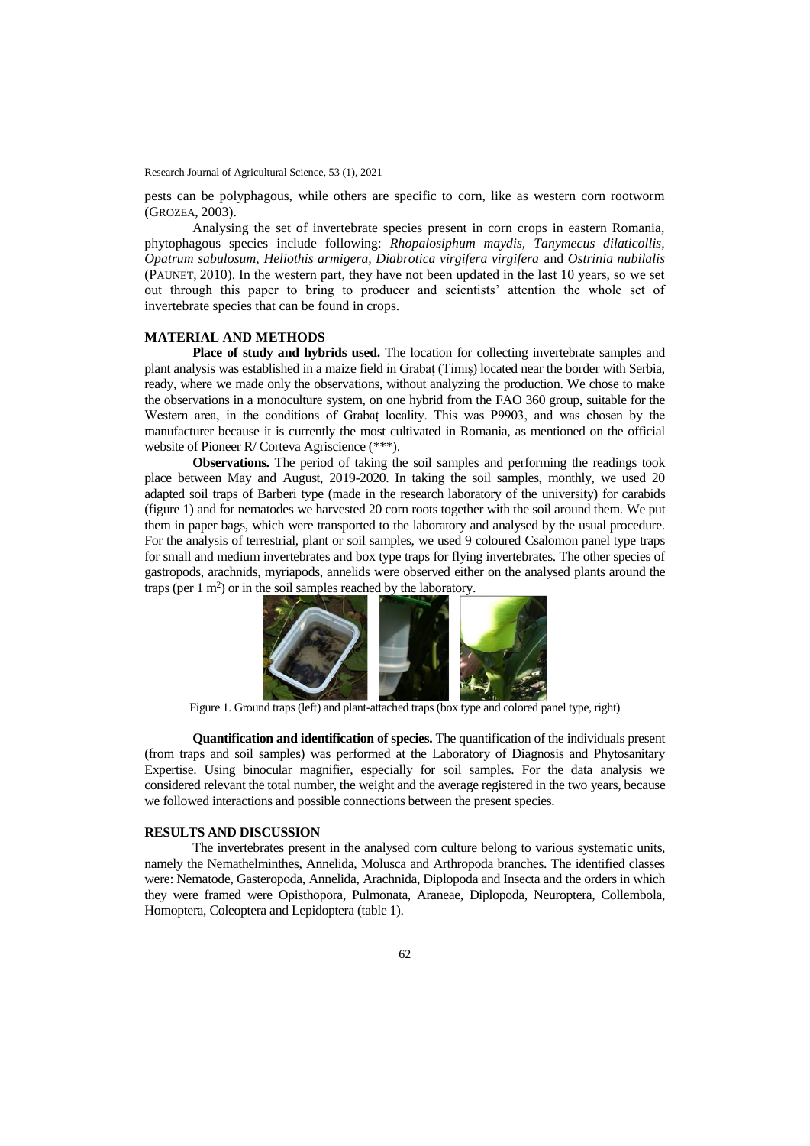pests can be polyphagous, while others are specific to corn, like as western corn rootworm (GROZEA, 2003).

Analysing the set of invertebrate species present in corn crops in eastern Romania, phytophagous species include following: *Rhopalosiphum maydis, Tanymecus dilaticollis, Opatrum sabulosum, Heliothis armigera, Diabrotica virgifera virgifera* and *Ostrinia nubilalis*  (PAUNET, 2010). In the western part, they have not been updated in the last 10 years, so we set out through this paper to bring to producer and scientists' attention the whole set of invertebrate species that can be found in crops.

# **MATERIAL AND METHODS**

**Place of study and hybrids used.** The location for collecting invertebrate samples and plant analysis was established in a maize field in Grabaț (Timiș) located near the border with Serbia, ready, where we made only the observations, without analyzing the production. We chose to make the observations in a monoculture system, on one hybrid from the FAO 360 group, suitable for the Western area, in the conditions of Grabaț locality. This was P9903, and was chosen by the manufacturer because it is currently the most cultivated in Romania, as mentioned on the official website of Pioneer R/ Corteva Agriscience (\*\*\*).

**Observations.** The period of taking the soil samples and performing the readings took place between May and August, 2019-2020. In taking the soil samples, monthly, we used 20 adapted soil traps of Barberi type (made in the research laboratory of the university) for carabids (figure 1) and for nematodes we harvested 20 corn roots together with the soil around them. We put them in paper bags, which were transported to the laboratory and analysed by the usual procedure. For the analysis of terrestrial, plant or soil samples, we used 9 coloured Csalomon panel type traps for small and medium invertebrates and box type traps for flying invertebrates. The other species of gastropods, arachnids, myriapods, annelids were observed either on the analysed plants around the traps (per  $1 \text{ m}^2$ ) or in the soil samples reached by the laboratory.



Figure 1. Ground traps (left) and plant-attached traps (box type and colored panel type, right)

**Quantification and identification of species.** The quantification of the individuals present (from traps and soil samples) was performed at the Laboratory of Diagnosis and Phytosanitary Expertise. Using binocular magnifier, especially for soil samples. For the data analysis we considered relevant the total number, the weight and the average registered in the two years, because we followed interactions and possible connections between the present species.

#### **RESULTS AND DISCUSSION**

The invertebrates present in the analysed corn culture belong to various systematic units, namely the Nemathelminthes, Annelida, Molusca and Arthropoda branches. The identified classes were: Nematode, Gasteropoda, Annelida, Arachnida, Diplopoda and Insecta and the orders in which they were framed were Opisthopora, Pulmonata, Araneae, Diplopoda, Neuroptera, Collembola, Homoptera, Coleoptera and Lepidoptera (table 1).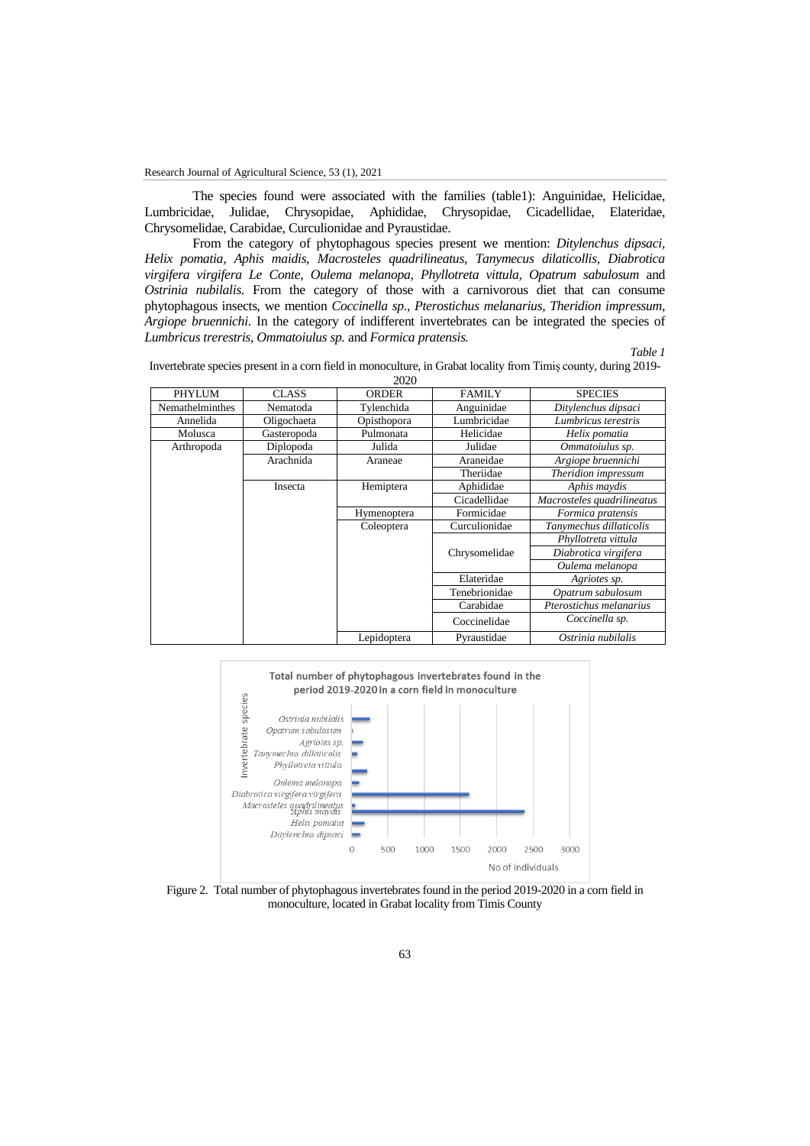The species found were associated with the families (table1): Anguinidae, Helicidae, Lumbricidae, Julidae, Chrysopidae, Aphididae, Chrysopidae, Cicadellidae, Elateridae, Chrysomelidae, Carabidae, Curculionidae and Pyraustidae.

From the category of phytophagous species present we mention: *Ditylenchus dipsaci, Helix pomatia, Aphis maidis, Macrosteles quadrilineatus, Tanymecus dilaticollis, Diabrotica virgifera virgifera Le Conte, Oulema melanopa, Phyllotreta vittula, Opatrum sabulosum* and *Ostrinia nubilalis*. From the category of those with a carnivorous diet that can consume phytophagous insects, we mention *Coccinella sp*., *Pterostichus melanarius, Theridion impressum, Argiope bruennichi*. In the category of indifferent invertebrates can be integrated the species of *Lumbricus trerestris, Ommatoiulus sp.* and *Formica pratensis.*

*Table 1*

Invertebrate species present in a corn field in monoculture, in Grabat locality from Timiș county, during 2019- 2020

|                 |             | 2020         |               |                            |  |  |  |
|-----------------|-------------|--------------|---------------|----------------------------|--|--|--|
| PHYLUM          | CLASS       | <b>ORDER</b> | <b>FAMILY</b> | <b>SPECIES</b>             |  |  |  |
| Nemathelminthes | Nematoda    | Tylenchida   | Anguinidae    | Ditylenchus dipsaci        |  |  |  |
| Annelida        | Oligochaeta | Opisthopora  | Lumbricidae   | Lumbricus terestris        |  |  |  |
| Molusca         | Gasteropoda | Pulmonata    | Helicidae     | Helix pomatia              |  |  |  |
| Arthropoda      | Diplopoda   | Julida       | Julidae       | Ommatoiulus sp.            |  |  |  |
|                 | Arachnida   | Araneae      | Araneidae     | Argiope bruennichi         |  |  |  |
|                 |             |              | Theriidae     | Theridion impressum        |  |  |  |
|                 | Insecta     | Hemiptera    | Aphididae     | Aphis maydis               |  |  |  |
|                 |             |              | Cicadellidae  | Macrosteles quadrilineatus |  |  |  |
|                 |             | Hymenoptera  | Formicidae    | Formica pratensis          |  |  |  |
|                 |             | Coleoptera   | Curculionidae | Tanymechus dillaticolis    |  |  |  |
|                 |             |              |               | Phyllotreta vittula        |  |  |  |
|                 |             |              | Chrysomelidae | Diabrotica virgifera       |  |  |  |
|                 |             |              |               | Oulema melanopa            |  |  |  |
|                 |             |              | Elateridae    | Agriotes sp.               |  |  |  |
|                 |             |              | Tenebrionidae | Opatrum sabulosum          |  |  |  |
|                 |             |              | Carabidae     | Pterostichus melanarius    |  |  |  |
|                 |             |              | Coccinelidae  | Coccinella sp.             |  |  |  |
|                 |             | Lepidoptera  | Pyraustidae   | Ostrinia nubilalis         |  |  |  |



Figure 2. Total number of phytophagous invertebrates found in the period 2019-2020 in a corn field in monoculture, located in Grabat locality from Timis County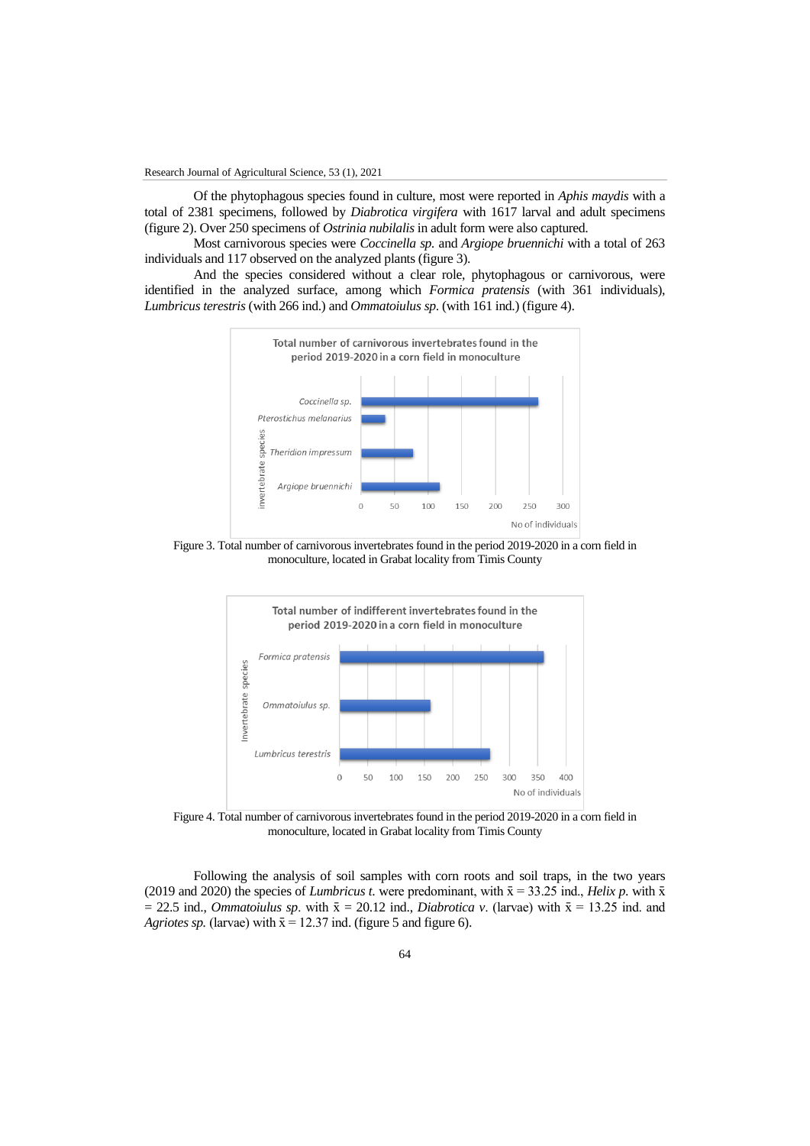Of the phytophagous species found in culture, most were reported in *Aphis maydis* with a total of 2381 specimens, followed by *Diabrotica virgifera* with 1617 larval and adult specimens (figure 2). Over 250 specimens of *Ostrinia nubilalis* in adult form were also captured.

Most carnivorous species were *Coccinella sp.* and *Argiope bruennichi* with a total of 263 individuals and 117 observed on the analyzed plants (figure 3).

And the species considered without a clear role, phytophagous or carnivorous, were identified in the analyzed surface, among which *Formica pratensis* (with 361 individuals), *Lumbricus terestris* (with 266 ind.) and *Ommatoiulus sp*. (with 161 ind.) (figure 4).



Figure 3. Total number of carnivorous invertebrates found in the period 2019-2020 in a corn field in monoculture, located in Grabat locality from Timis County



Figure 4. Total number of carnivorous invertebrates found in the period 2019-2020 in a corn field in monoculture, located in Grabat locality from Timis County

Following the analysis of soil samples with corn roots and soil traps, in the two years (2019 and 2020) the species of *Lumbricus t*. were predominant, with  $\bar{x} = 33.25$  ind., *Helix p*. with  $\bar{x}$  $= 22.5$  ind., *Ommatoiulus sp.* with  $\bar{x} = 20.12$  ind., *Diabrotica v.* (larvae) with  $\bar{x} = 13.25$  ind. and *Agriotes sp.* (larvae) with  $\bar{x} = 12.37$  ind. (figure 5 and figure 6).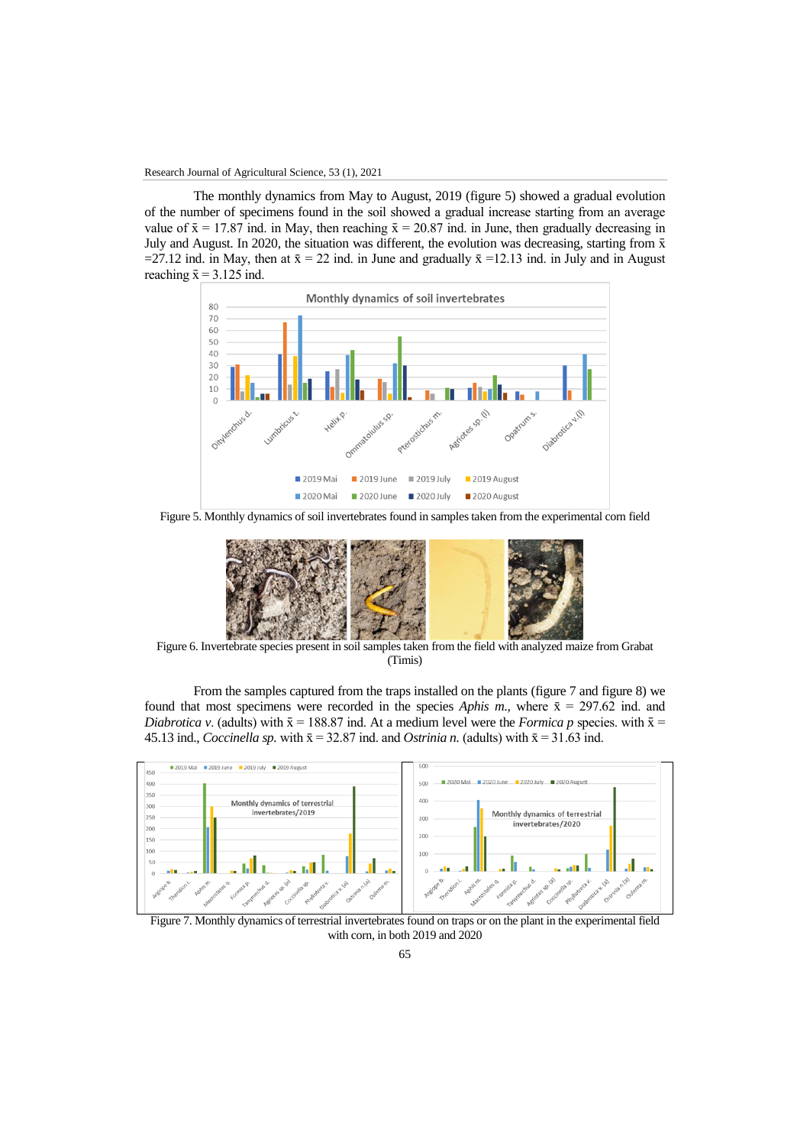The monthly dynamics from May to August, 2019 (figure 5) showed a gradual evolution of the number of specimens found in the soil showed a gradual increase starting from an average value of  $\bar{x} = 17.87$  ind. in May, then reaching  $\bar{x} = 20.87$  ind. in June, then gradually decreasing in July and August. In 2020, the situation was different, the evolution was decreasing, starting from  $\bar{x}$ =27.12 ind. in May, then at  $\bar{x} = 22$  ind. in June and gradually  $\bar{x} = 12.13$  ind. in July and in August reaching  $\bar{x} = 3.125$  ind.



Figure 5. Monthly dynamics of soil invertebrates found in samples taken from the experimental corn field



Figure 6. Invertebrate species present in soil samples taken from the field with analyzed maize from Grabat (Timis)

From the samples captured from the traps installed on the plants (figure 7 and figure 8) we found that most specimens were recorded in the species *Aphis m.*, where  $\bar{x} = 297.62$  ind. and *Diabrotica v.* (adults) with  $\bar{x} = 188.87$  ind. At a medium level were the *Formica p* species. with  $\bar{x} =$ 45.13 ind., *Coccinella sp.* with  $\bar{x} = 32.87$  ind. and *Ostrinia n.* (adults) with  $\bar{x} = 31.63$  ind.



Figure 7. Monthly dynamics of terrestrial invertebrates found on traps or on the plant in the experimental field with corn, in both 2019 and 2020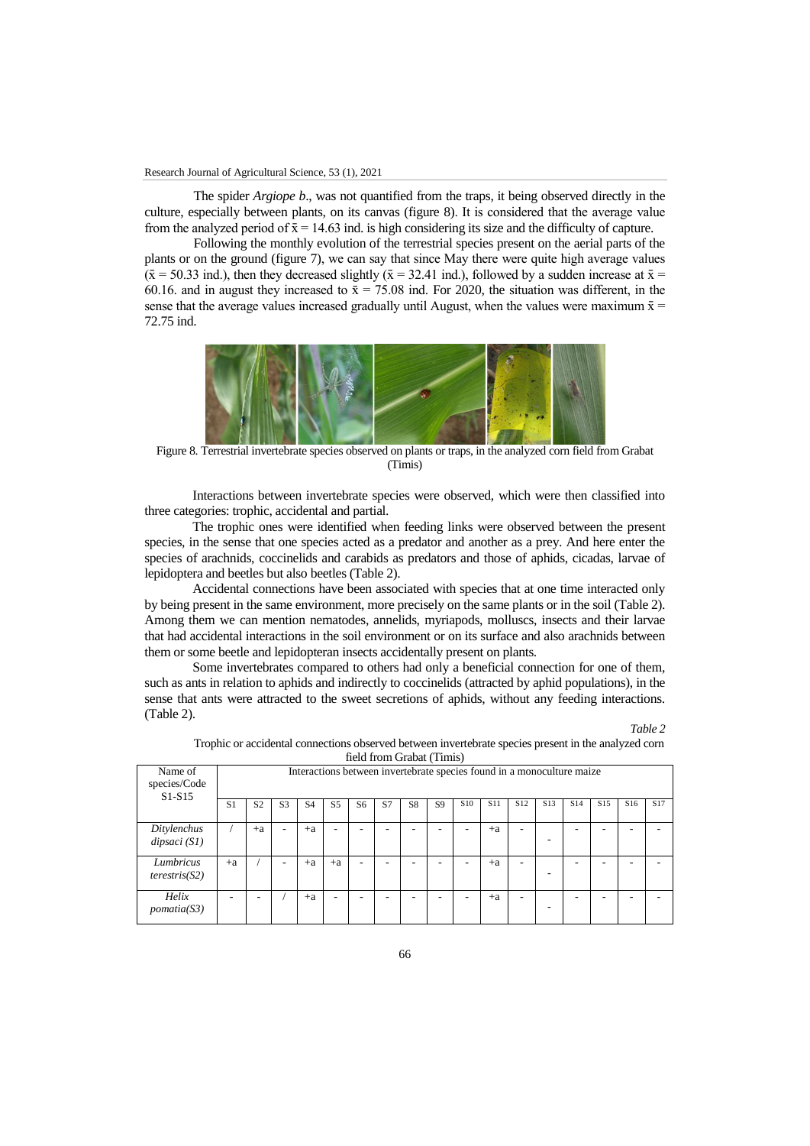The spider *Argiope b*., was not quantified from the traps, it being observed directly in the culture, especially between plants, on its canvas (figure 8). It is considered that the average value from the analyzed period of  $\bar{x} = 14.63$  ind. is high considering its size and the difficulty of capture.

Following the monthly evolution of the terrestrial species present on the aerial parts of the plants or on the ground (figure 7), we can say that since May there were quite high average values  $({\bar x} = 50.33$  ind.), then they decreased slightly  $({\bar x} = 32.41$  ind.), followed by a sudden increase at  ${\bar x} =$ 60.16. and in august they increased to  $\bar{x} = 75.08$  ind. For 2020, the situation was different, in the sense that the average values increased gradually until August, when the values were maximum  $\bar{x}$  = 72.75 ind.



Figure 8. Terrestrial invertebrate species observed on plants or traps, in the analyzed corn field from Grabat (Timis)

Interactions between invertebrate species were observed, which were then classified into three categories: trophic, accidental and partial.

The trophic ones were identified when feeding links were observed between the present species, in the sense that one species acted as a predator and another as a prey. And here enter the species of arachnids, coccinelids and carabids as predators and those of aphids, cicadas, larvae of lepidoptera and beetles but also beetles (Table 2).

Accidental connections have been associated with species that at one time interacted only by being present in the same environment, more precisely on the same plants or in the soil (Table 2). Among them we can mention nematodes, annelids, myriapods, molluscs, insects and their larvae that had accidental interactions in the soil environment or on its surface and also arachnids between them or some beetle and lepidopteran insects accidentally present on plants.

Some invertebrates compared to others had only a beneficial connection for one of them, such as ants in relation to aphids and indirectly to coccinelids (attracted by aphid populations), in the sense that ants were attracted to the sweet secretions of aphids, without any feeding interactions. (Table 2).

Name of species/Code S1-S15 Interactions between invertebrate species found in a monoculture maize S1 | S2 | S3 | S4 | S5 | S6 | S7 | S8 | S9 | S10 | S11 | S12 | S13 | S14 | S15 | S16 | S17 *Ditylenchus dipsaci (S1)* / | +a | - | +a | - | - | - | - | - | - | +a | -- - - - - *Lumbricus terestris(S2)* +a / - +a +a - - - - - +a - - - - - - *Helix pomatia(S3)* - | - | / | +a | - | - | - | - | - | - | +a | -- - - - -

Trophic or accidental connections observed between invertebrate species present in the analyzed corn field from Grabat (Timis)

*Table 2*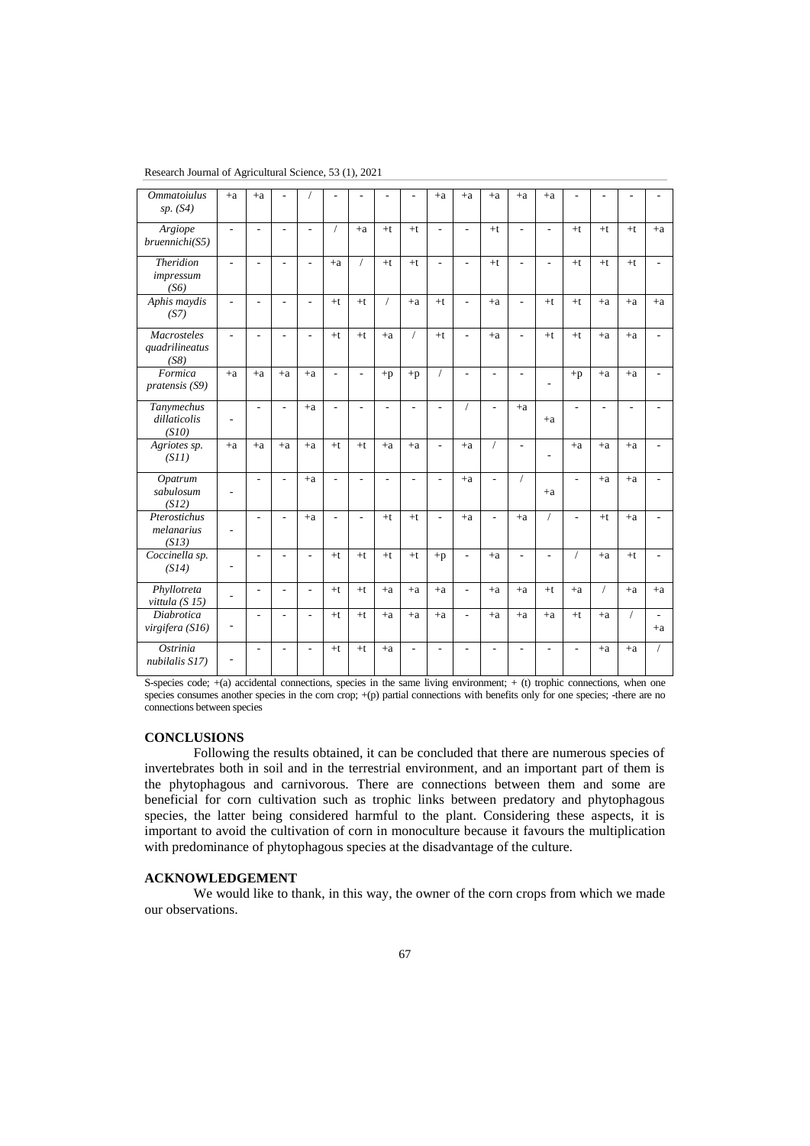| <b>Ommatoiulus</b><br>sp. (S4)               | $+a$                     | $+a$                     |                          |                          |                          |                |                |            | $+a$           | $+a$                     | $+a$           | $+a$                     | $+a$                     |                |            |            |            |
|----------------------------------------------|--------------------------|--------------------------|--------------------------|--------------------------|--------------------------|----------------|----------------|------------|----------------|--------------------------|----------------|--------------------------|--------------------------|----------------|------------|------------|------------|
| Argiope<br>bruennichi(S5)                    | $\overline{a}$           | $\overline{a}$           | $\mathbf{r}$             | $\overline{\phantom{a}}$ | $\sqrt{2}$               | $+a$           | $+t$           | $+t$       | ÷,             | $\overline{\phantom{a}}$ | $+t$           | $\blacksquare$           | ٠                        | $+t$           | $+t$       | $+t$       | $\pm a$    |
| <b>Theridion</b><br>impressum<br>(S6)        | L.                       | $\overline{\phantom{a}}$ | $\blacksquare$           | $\overline{\phantom{a}}$ | $+a$                     | $\prime$       | $+t$           | $+t$       | ÷,             | $\overline{\phantom{a}}$ | $+t$           | $\overline{\phantom{a}}$ | $\overline{\phantom{a}}$ | $+t$           | $+t$       | $+t$       |            |
| Aphis maydis<br>(S7)                         | L,                       | $\overline{\phantom{a}}$ | $\overline{\phantom{a}}$ | $\overline{\phantom{a}}$ | $+t$                     | $+t$           | $\sqrt{2}$     | $+a$       | $+t$           | $\overline{\phantom{a}}$ | $+a$           | $\blacksquare$           | $+t$                     | $+t$           | $+a$       | $+a$       | $+a$       |
| <b>Macrosteles</b><br>quadrilineatus<br>(S8) | ÷                        | ÷                        | ÷                        | $\overline{a}$           | $+t$                     | $+t$           | $+a$           | $\sqrt{2}$ | $+t$           | $\overline{a}$           | $+a$           | ÷.                       | $+t$                     | $+t$           | $+a$       | $+a$       |            |
| Formica<br>pratensis (S9)                    | $+a$                     | $+a$                     | $+a$                     | $+a$                     | $\overline{\phantom{a}}$ | $\overline{a}$ | $+p$           | $+p$       | $\sqrt{2}$     | $\overline{\phantom{a}}$ | L,             | $\overline{\phantom{a}}$ |                          | $+p$           | $+a$       | $+a$       |            |
| Tanymechus<br>dillaticolis<br>(S10)          | ÷                        | L.                       | $\overline{a}$           | $+a$                     | ÷.                       | ٠              | $\overline{a}$ | L.         | L.             | $\overline{1}$           | $\overline{a}$ | $+a$                     | $+a$                     | L,             | L,         | L.         |            |
| Agriotes sp.<br>(S11)                        | $+a$                     | $+a$                     | $+a$                     | $+a$                     | $+t$                     | $+t$           | $+a$           | $+a$       | L.             | $+a$                     | $\sqrt{2}$     | ÷.                       | $\overline{a}$           | $+a$           | $+a$       | $+a$       |            |
| Opatrum<br>sabulosum<br>(S12)                |                          | $\overline{a}$           | $\overline{a}$           | $+a$                     | $\overline{\phantom{a}}$ | ÷.             | $\overline{a}$ |            | ÷.             | $+a$                     | $\overline{a}$ | $\sqrt{2}$               | $+a$                     | ÷.             | $+a$       | $+a$       |            |
| Pterostichus<br>melanarius<br>(S13)          | ÷                        | L,                       | $\overline{a}$           | $+a$                     | $\overline{\phantom{a}}$ | ÷,             | $+t$           | $+t$       | $\overline{a}$ | $+a$                     | $\overline{a}$ | $+a$                     | $\sqrt{2}$               | L,             | $+t$       | $+a$       |            |
| Coccinella sp.<br>(S14)                      | $\overline{\phantom{0}}$ | ÷                        | ÷                        | ÷.                       | $+t$                     | $+t$           | $+t$           | $+t$       | $+p$           | $\overline{\phantom{a}}$ | $+a$           | ÷.                       | L.                       | $\sqrt{2}$     | $+a$       | $+t$       |            |
| Phyllotreta<br>vittula $(S15)$               | $\overline{a}$           | $\overline{a}$           | $\overline{\phantom{a}}$ | ÷,                       | $+t$                     | $+t$           | $+a$           | $+a$       | $+a$           | $\overline{\phantom{a}}$ | $+a$           | $+a$                     | $+t$                     | $+a$           | $\sqrt{2}$ | $+a$       | $+a$       |
| <b>Diabrotica</b><br>virgifera (S16)         | $\overline{a}$           | ÷,                       | $\overline{a}$           | L.                       | $+t$                     | $+t$           | $+a$           | $+a$       | $+a$           | $\overline{\phantom{a}}$ | $+a$           | $+a$                     | $+a$                     | $+t$           | $+a$       | $\sqrt{2}$ | ÷.<br>$+a$ |
| Ostrinia<br>nubilalis S17)                   | ٠                        | $\overline{a}$           | $\overline{\phantom{a}}$ | ÷,                       | $+t$                     | $+t$           | $+a$           | L,         | ÷,             | $\overline{a}$           | $\overline{a}$ | $\overline{\phantom{a}}$ | ٠                        | $\overline{a}$ | $+a$       | $+a$       |            |

Research Journal of Agricultural Science, 53 (1), 2021

S-species code;  $+(a)$  accidental connections, species in the same living environment;  $+(t)$  trophic connections, when one species consumes another species in the corn crop;  $+(p)$  partial connections with benefits only for one species; -there are no connections between species

### **CONCLUSIONS**

Following the results obtained, it can be concluded that there are numerous species of invertebrates both in soil and in the terrestrial environment, and an important part of them is the phytophagous and carnivorous. There are connections between them and some are beneficial for corn cultivation such as trophic links between predatory and phytophagous species, the latter being considered harmful to the plant. Considering these aspects, it is important to avoid the cultivation of corn in monoculture because it favours the multiplication with predominance of phytophagous species at the disadvantage of the culture.

# **ACKNOWLEDGEMENT**

We would like to thank, in this way, the owner of the corn crops from which we made our observations.